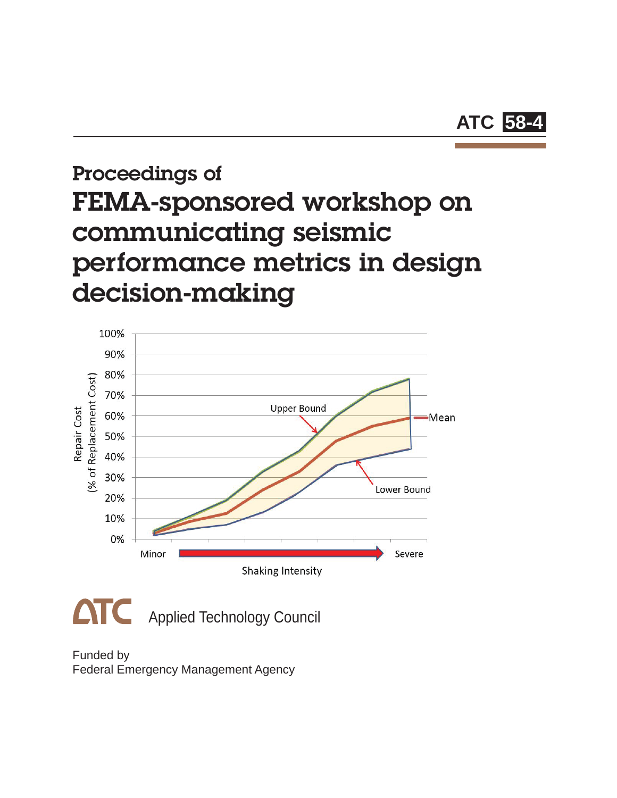

## Proceedings of FEMA-sponsored workshop on communicating seismic performance metrics in design decision-making



Funded by Federal Emergency Management Agency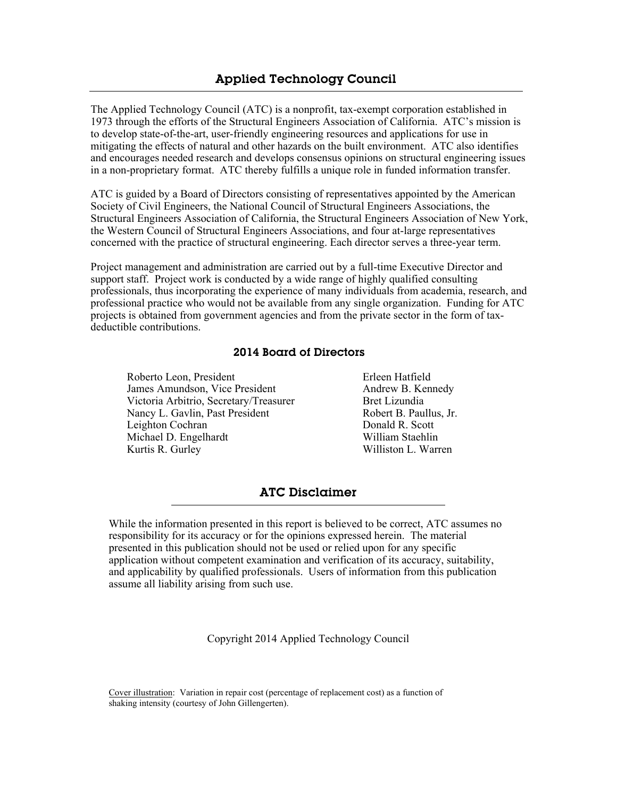The Applied Technology Council (ATC) is a nonprofit, tax-exempt corporation established in 1973 through the efforts of the Structural Engineers Association of California. ATC's mission is to develop state-of-the-art, user-friendly engineering resources and applications for use in mitigating the effects of natural and other hazards on the built environment. ATC also identifies and encourages needed research and develops consensus opinions on structural engineering issues in a non-proprietary format. ATC thereby fulfills a unique role in funded information transfer.

ATC is guided by a Board of Directors consisting of representatives appointed by the American Society of Civil Engineers, the National Council of Structural Engineers Associations, the Structural Engineers Association of California, the Structural Engineers Association of New York, the Western Council of Structural Engineers Associations, and four at-large representatives concerned with the practice of structural engineering. Each director serves a three-year term.

Project management and administration are carried out by a full-time Executive Director and support staff. Project work is conducted by a wide range of highly qualified consulting professionals, thus incorporating the experience of many individuals from academia, research, and professional practice who would not be available from any single organization. Funding for ATC projects is obtained from government agencies and from the private sector in the form of taxdeductible contributions.

#### 2014 Board of Directors

Roberto Leon, President James Amundson, Vice President Victoria Arbitrio, Secretary/Treasurer Nancy L. Gavlin, Past President Leighton Cochran Michael D. Engelhardt Kurtis R. Gurley

Erleen Hatfield Andrew B. Kennedy Bret Lizundia Robert B. Paullus, Jr. Donald R. Scott William Staehlin Williston L. Warren

#### ATC Disclaimer

While the information presented in this report is believed to be correct, ATC assumes no responsibility for its accuracy or for the opinions expressed herein. The material presented in this publication should not be used or relied upon for any specific application without competent examination and verification of its accuracy, suitability, and applicability by qualified professionals. Users of information from this publication assume all liability arising from such use.

Copyright 2014 Applied Technology Council

Cover illustration: Variation in repair cost (percentage of replacement cost) as a function of shaking intensity (courtesy of John Gillengerten).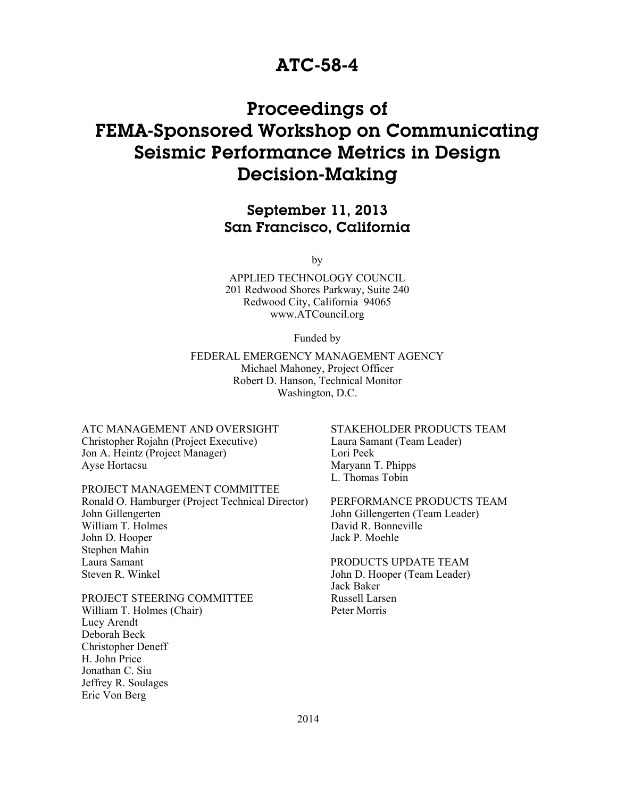### ATC-58-4

## Proceedings of FEMA-Sponsored Workshop on Communicating Seismic Performance Metrics in Design Decision-Making

### September 11, 2013 San Francisco, California

by

APPLIED TECHNOLOGY COUNCIL 201 Redwood Shores Parkway, Suite 240 Redwood City, California 94065 www.ATCouncil.org

Funded by

FEDERAL EMERGENCY MANAGEMENT AGENCY Michael Mahoney, Project Officer Robert D. Hanson, Technical Monitor Washington, D.C.

ATC MANAGEMENT AND OVERSIGHT Christopher Rojahn (Project Executive) Jon A. Heintz (Project Manager) Ayse Hortacsu

PROJECT MANAGEMENT COMMITTEE Ronald O. Hamburger (Project Technical Director) John Gillengerten William T. Holmes John D. Hooper Stephen Mahin Laura Samant Steven R. Winkel

PROJECT STEERING COMMITTEE William T. Holmes (Chair) Lucy Arendt Deborah Beck Christopher Deneff H. John Price Jonathan C. Siu Jeffrey R. Soulages Eric Von Berg

STAKEHOLDER PRODUCTS TEAM Laura Samant (Team Leader) Lori Peek Maryann T. Phipps L. Thomas Tobin

PERFORMANCE PRODUCTS TEAM John Gillengerten (Team Leader) David R. Bonneville Jack P. Moehle

PRODUCTS UPDATE TEAM John D. Hooper (Team Leader) Jack Baker Russell Larsen Peter Morris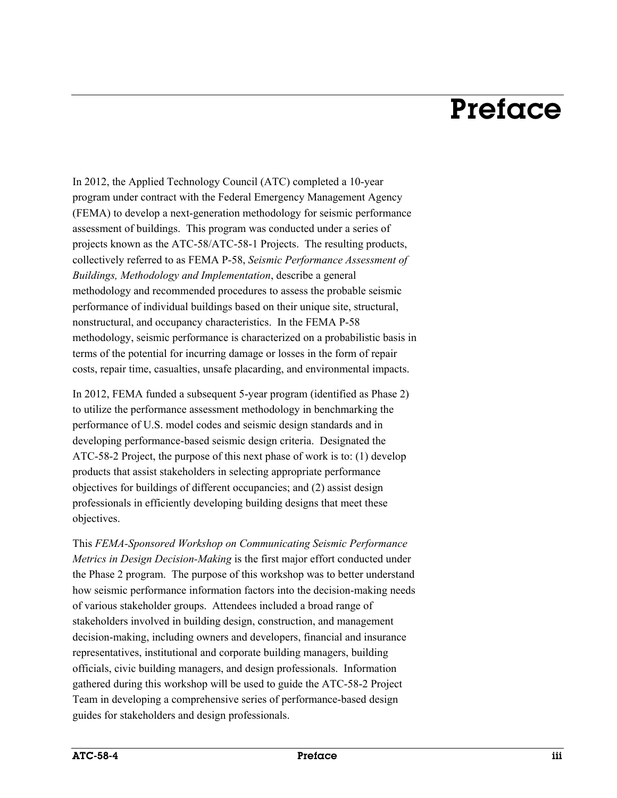## Preface

In 2012, the Applied Technology Council (ATC) completed a 10-year program under contract with the Federal Emergency Management Agency (FEMA) to develop a next-generation methodology for seismic performance assessment of buildings. This program was conducted under a series of projects known as the ATC-58/ATC-58-1 Projects. The resulting products, collectively referred to as FEMA P-58, *Seismic Performance Assessment of Buildings, Methodology and Implementation*, describe a general methodology and recommended procedures to assess the probable seismic performance of individual buildings based on their unique site, structural, nonstructural, and occupancy characteristics. In the FEMA P-58 methodology, seismic performance is characterized on a probabilistic basis in terms of the potential for incurring damage or losses in the form of repair costs, repair time, casualties, unsafe placarding, and environmental impacts.

In 2012, FEMA funded a subsequent 5-year program (identified as Phase 2) to utilize the performance assessment methodology in benchmarking the performance of U.S. model codes and seismic design standards and in developing performance-based seismic design criteria. Designated the ATC-58-2 Project, the purpose of this next phase of work is to: (1) develop products that assist stakeholders in selecting appropriate performance objectives for buildings of different occupancies; and (2) assist design professionals in efficiently developing building designs that meet these objectives.

This *FEMA-Sponsored Workshop on Communicating Seismic Performance Metrics in Design Decision-Making* is the first major effort conducted under the Phase 2 program. The purpose of this workshop was to better understand how seismic performance information factors into the decision-making needs of various stakeholder groups. Attendees included a broad range of stakeholders involved in building design, construction, and management decision-making, including owners and developers, financial and insurance representatives, institutional and corporate building managers, building officials, civic building managers, and design professionals. Information gathered during this workshop will be used to guide the ATC-58-2 Project Team in developing a comprehensive series of performance-based design guides for stakeholders and design professionals.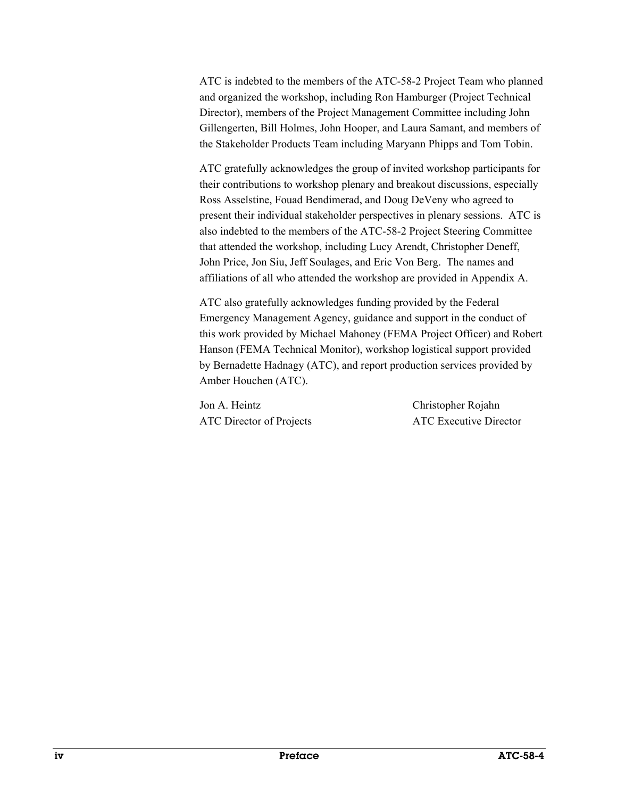ATC is indebted to the members of the ATC-58-2 Project Team who planned and organized the workshop, including Ron Hamburger (Project Technical Director), members of the Project Management Committee including John Gillengerten, Bill Holmes, John Hooper, and Laura Samant, and members of the Stakeholder Products Team including Maryann Phipps and Tom Tobin.

ATC gratefully acknowledges the group of invited workshop participants for their contributions to workshop plenary and breakout discussions, especially Ross Asselstine, Fouad Bendimerad, and Doug DeVeny who agreed to present their individual stakeholder perspectives in plenary sessions. ATC is also indebted to the members of the ATC-58-2 Project Steering Committee that attended the workshop, including Lucy Arendt, Christopher Deneff, John Price, Jon Siu, Jeff Soulages, and Eric Von Berg. The names and affiliations of all who attended the workshop are provided in Appendix A.

ATC also gratefully acknowledges funding provided by the Federal Emergency Management Agency, guidance and support in the conduct of this work provided by Michael Mahoney (FEMA Project Officer) and Robert Hanson (FEMA Technical Monitor), workshop logistical support provided by Bernadette Hadnagy (ATC), and report production services provided by Amber Houchen (ATC).

Jon A. Heintz Christopher Rojahn ATC Director of Projects ATC Executive Director